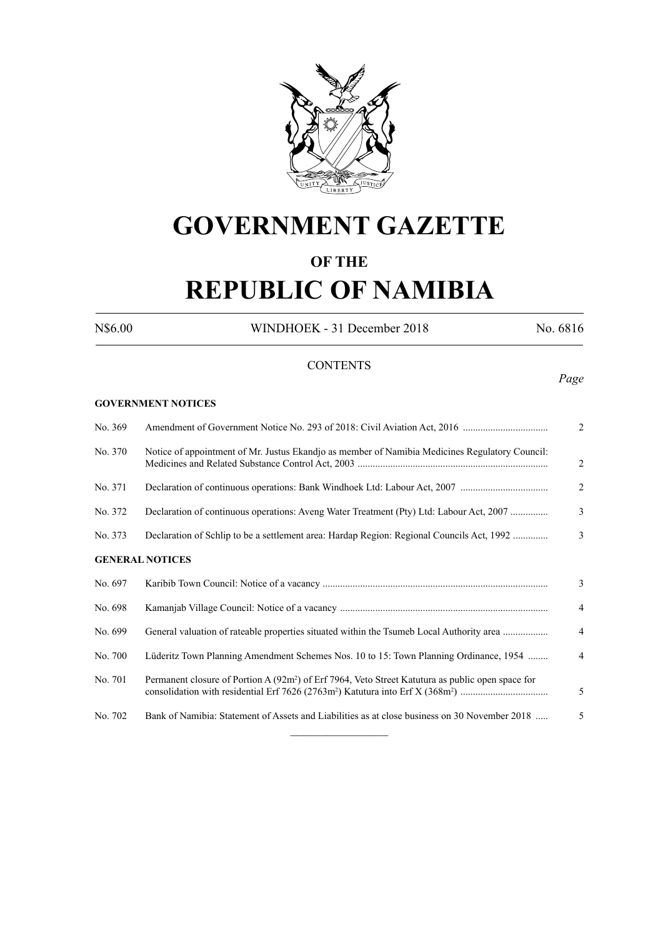

# **GOVERNMENT GAZETTE**

### **OF THE**

# **REPUBLIC OF NAMIBIA**

**GOVERNMENT NOTICES**

N\$6.00 WINDHOEK - 31 December 2018 No. 6816

#### **CONTENTS**

*Page*

| No. 369 |                                                                                                               | 2              |
|---------|---------------------------------------------------------------------------------------------------------------|----------------|
| No. 370 | Notice of appointment of Mr. Justus Ekandjo as member of Namibia Medicines Regulatory Council:                | $\overline{2}$ |
| No. 371 |                                                                                                               | $\overline{2}$ |
| No. 372 | Declaration of continuous operations: Aveng Water Treatment (Pty) Ltd: Labour Act, 2007                       | 3              |
| No. 373 | Declaration of Schlip to be a settlement area: Hardap Region: Regional Councils Act, 1992                     | 3              |
|         | <b>GENERAL NOTICES</b>                                                                                        |                |
| No. 697 |                                                                                                               | 3              |
| No. 698 |                                                                                                               | $\overline{4}$ |
| No. 699 | General valuation of rateable properties situated within the Tsumeb Local Authority area                      | $\overline{4}$ |
| No. 700 | Lüderitz Town Planning Amendment Schemes Nos. 10 to 15: Town Planning Ordinance, 1954                         | $\overline{4}$ |
| No. 701 | Permanent closure of Portion A (92m <sup>2</sup> ) of Erf 7964, Veto Street Katutura as public open space for | 5              |
| No. 702 | Bank of Namibia: Statement of Assets and Liabilities as at close business on 30 November 2018                 | 5              |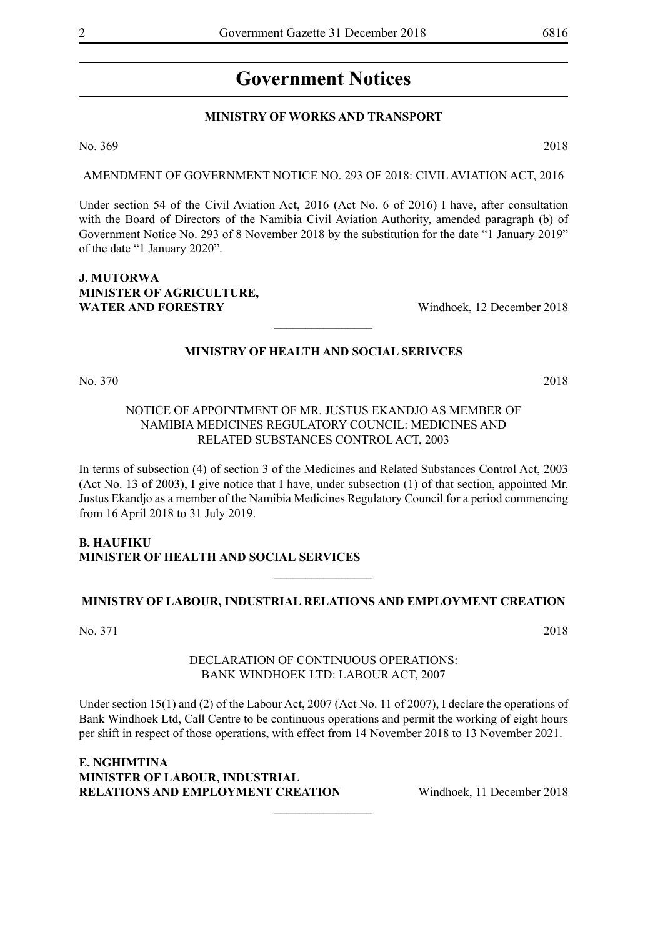### **Government Notices**

#### **MINISTRY OF WORKS AND TRANSPORT**

No. 369 2018

AMENDMENT OF GOVERNMENT NOTICE NO. 293 OF 2018: CIVIL AVIATION ACT, 2016

Under section 54 of the Civil Aviation Act, 2016 (Act No. 6 of 2016) I have, after consultation with the Board of Directors of the Namibia Civil Aviation Authority, amended paragraph (b) of Government Notice No. 293 of 8 November 2018 by the substitution for the date "1 January 2019" of the date "1 January 2020".

#### **J. MUTORWA Minister of Agriculture, WATER AND FORESTRY** Windhoek, 12 December 2018

#### **MINISTRY OF HEALTH AND SOCIAL SERIVCES**

 $\overline{\phantom{a}}$  , where  $\overline{\phantom{a}}$ 

#### No. 370 2018

NOTICE OF APPOINTMENT OF MR. JUSTUS EKANDJO AS MEMBER OF NAMIBIA MEDICINES REGULATORY COUNCIL: MEDICINES AND RELATED SUBSTANCES CONTROL ACT, 2003

In terms of subsection (4) of section 3 of the Medicines and Related Substances Control Act, 2003 (Act No. 13 of 2003), I give notice that I have, under subsection (1) of that section, appointed Mr. Justus Ekandjo as a member of the Namibia Medicines Regulatory Council for a period commencing from 16 April 2018 to 31 July 2019.

#### **B. HAUFIKU Minister of Health and Social Services**

#### **MINISTRY OF LABOUR, INDUSTRIAL RELATIONS AND EMPLOYMENT CREATION**

 $\frac{1}{2}$ 

No. 371 2018

#### DECLARATION OF CONTINUOUS OPERATIONS: BANK WINDHOEK LTD: LABOUR ACT, 2007

Under section 15(1) and (2) of the Labour Act, 2007 (Act No. 11 of 2007), I declare the operations of Bank Windhoek Ltd, Call Centre to be continuous operations and permit the working of eight hours per shift in respect of those operations, with effect from 14 November 2018 to 13 November 2021.

 $\overline{\phantom{a}}$  , where  $\overline{\phantom{a}}$ 

**e. nghimtina MINISTER OF LABOUR, INDUSTRIAL RELATIONS AND EMPLOYMENT CREATION** Windhoek, 11 December 2018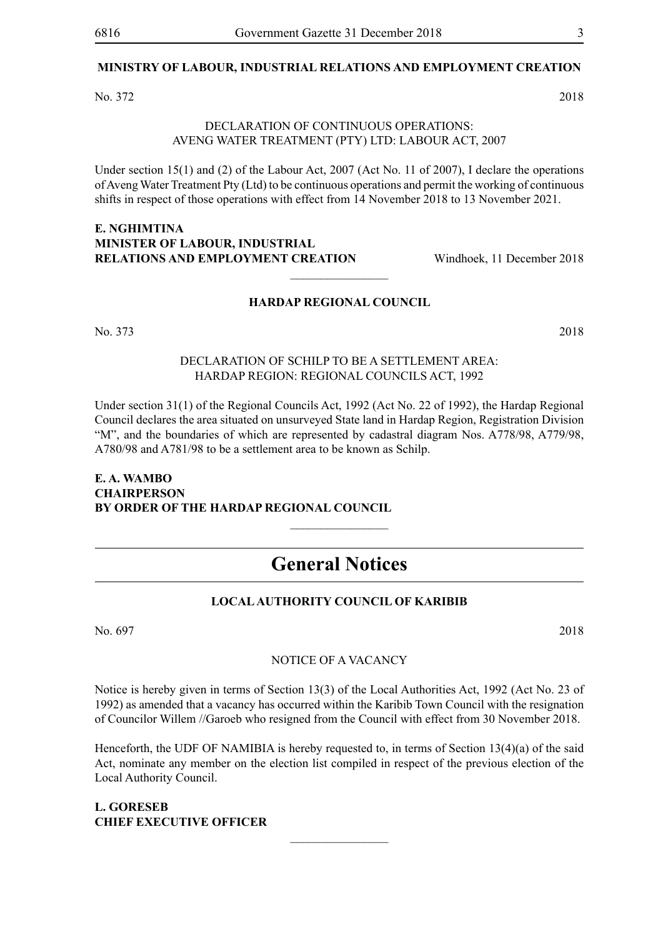#### **MINISTRY OF LABOUR, INDUSTRIAL RELATIONS AND EMPLOYMENT CREATION**

No. 372 2018

#### DECLARATION OF CONTINUOUS OPERATIONS: AVENG WATER TREATMENT (PTY) LTD: LABOUR ACT, 2007

Under section 15(1) and (2) of the Labour Act, 2007 (Act No. 11 of 2007), I declare the operations of Aveng Water Treatment Pty (Ltd) to be continuous operations and permit the working of continuous shifts in respect of those operations with effect from 14 November 2018 to 13 November 2021.

#### **e. nghimtina MINISTER OF LABOUR, INDUSTRIAL RELATIONS AND EMPLOYMENT CREATION** Windhoek, 11 December 2018

#### **HARDAP REGIONAL COUNCIL**

 $\overline{\phantom{a}}$  , where  $\overline{\phantom{a}}$ 

No. 373 2018

#### DECLARATION OF SCHILP TO BE A SETTLEMENT AREA: HARDAP REGION: REGIONAL COUNCILS ACT, 1992

Under section 31(1) of the Regional Councils Act, 1992 (Act No. 22 of 1992), the Hardap Regional Council declares the area situated on unsurveyed State land in Hardap Region, Registration Division "M", and the boundaries of which are represented by cadastral diagram Nos. A778/98, A779/98, A780/98 and A781/98 to be a settlement area to be known as Schilp.

#### **E. A. WAMBO CHAIRPERSON BY ORDER OF THE HARDAP REGIONAL COUNCIL**

## **General Notices**

 $\frac{1}{2}$ 

#### **LOCAL AUTHORITY COUNCIL OF KARIBIB**

No. 697 2018

#### NOTICE OF A VACANCY

Notice is hereby given in terms of Section 13(3) of the Local Authorities Act, 1992 (Act No. 23 of 1992) as amended that a vacancy has occurred within the Karibib Town Council with the resignation of Councilor Willem //Garoeb who resigned from the Council with effect from 30 November 2018.

Henceforth, the UDF OF NAMIBIA is hereby requested to, in terms of Section 13(4)(a) of the said Act, nominate any member on the election list compiled in respect of the previous election of the Local Authority Council.

 $\overline{\phantom{a}}$  , where  $\overline{\phantom{a}}$ 

**L. GORESEB CHIEF EXECUTIVE OFFICER**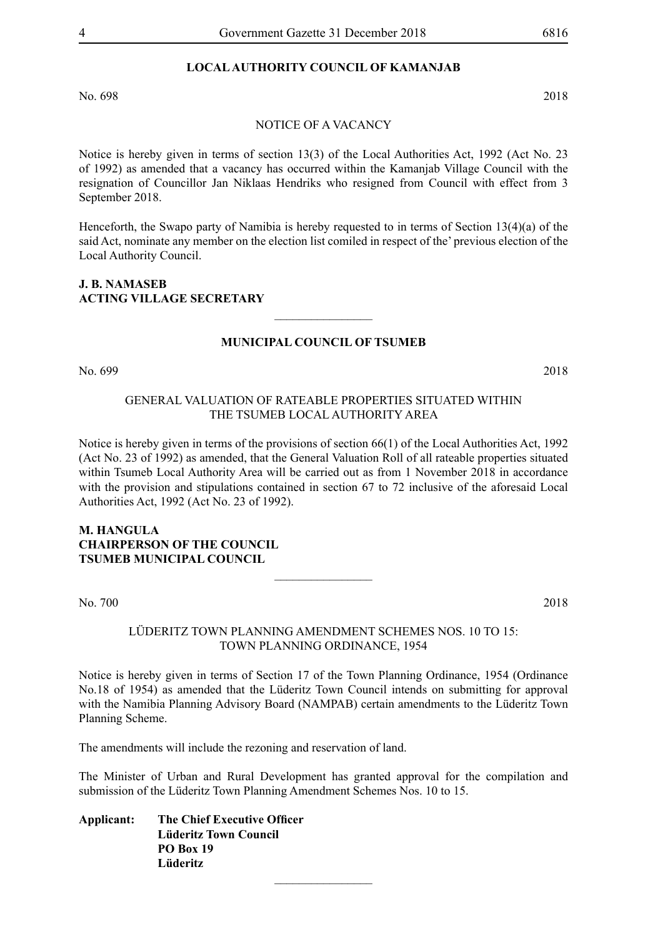#### **LOCAL AUTHORITY COUNCIL OF KAMANJAB**

No. 698 2018

#### NOTICE OF A VACANCY

Notice is hereby given in terms of section 13(3) of the Local Authorities Act, 1992 (Act No. 23 of 1992) as amended that a vacancy has occurred within the Kamanjab Village Council with the resignation of Councillor Jan Niklaas Hendriks who resigned from Council with effect from 3 September 2018.

Henceforth, the Swapo party of Namibia is hereby requested to in terms of Section 13(4)(a) of the said Act, nominate any member on the election list comiled in respect of the' previous election of the Local Authority Council.

#### **J. B. NAMASEB ACTING VILLAGE SECRETARY**

#### **MUNICIPAL COUNCIL OF TSUMEB**

 $\frac{1}{2}$ 

No. 699 2018

#### GENERAL VALUATION OF RATEABLE PROPERTIES SITUATED WITHIN THE TSUMEB LOCAL AUTHORITY AREA

Notice is hereby given in terms of the provisions of section 66(1) of the Local Authorities Act, 1992 (Act No. 23 of 1992) as amended, that the General Valuation Roll of all rateable properties situated within Tsumeb Local Authority Area will be carried out as from 1 November 2018 in accordance with the provision and stipulations contained in section 67 to 72 inclusive of the aforesaid Local Authorities Act, 1992 (Act No. 23 of 1992).

**M. HANGULA CHAIRPERSON OF THE COUNCIL TSUMEB MUNICIPAL COUNCIL**

No. 700 2018

#### LÜDERITZ TOWN PLANNING AMENDMENT SCHEMES NOS. 10 TO 15: TOWN PLANNING ORDINANCE, 1954

 $\overline{\phantom{a}}$  , where  $\overline{\phantom{a}}$ 

Notice is hereby given in terms of Section 17 of the Town Planning Ordinance, 1954 (Ordinance No.18 of 1954) as amended that the Lüderitz Town Council intends on submitting for approval with the Namibia Planning Advisory Board (NAMPAB) certain amendments to the Lüderitz Town Planning Scheme.

The amendments will include the rezoning and reservation of land.

The Minister of Urban and Rural Development has granted approval for the compilation and submission of the Lüderitz Town Planning Amendment Schemes Nos. 10 to 15.

 $\frac{1}{2}$ 

**Applicant: The Chief Executive Officer Lüderitz Town Council PO Box 19 Lüderitz**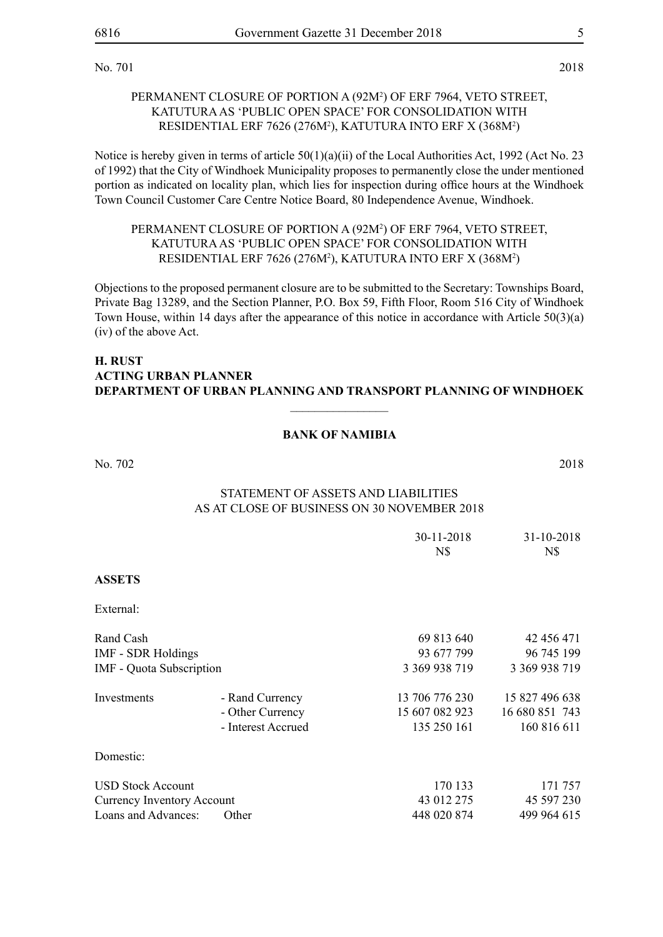#### PERMANENT CLOSURE OF PORTION A (92M<sup>2</sup>) OF ERF 7964, VETO STREET, KATUTURA AS 'PUBLIC OPEN SPACE' FOR CONSOLIDATION WITH RESIDENTIAL ERF 7626 (276M2 ), KATUTURA INTO ERF X (368M2 )

Notice is hereby given in terms of article 50(1)(a)(ii) of the Local Authorities Act, 1992 (Act No. 23 of 1992) that the City of Windhoek Municipality proposes to permanently close the under mentioned portion as indicated on locality plan, which lies for inspection during office hours at the Windhoek Town Council Customer Care Centre Notice Board, 80 Independence Avenue, Windhoek.

#### PERMANENT CLOSURE OF PORTION A (92M<sup>2</sup>) OF ERF 7964, VETO STREET, KATUTURA AS 'PUBLIC OPEN SPACE' FOR CONSOLIDATION WITH RESIDENTIAL ERF 7626 (276M2 ), KATUTURA INTO ERF X (368M2 )

Objections to the proposed permanent closure are to be submitted to the Secretary: Townships Board, Private Bag 13289, and the Section Planner, P.O. Box 59, Fifth Floor, Room 516 City of Windhoek Town House, within 14 days after the appearance of this notice in accordance with Article 50(3)(a) (iv) of the above Act.

#### **H. Rust Acting Urban Planner Department of Urban Planning and Transport Planning of Windhoek**

 $\frac{1}{2}$ 

#### **BANK OF NAMIBIA**

No. 702 2018

#### Statement of Assets and Liabilities As at close of business on 30 November 2018

|                                   |                    | 30-11-2018<br>N\$ | 31-10-2018<br>N\$ |
|-----------------------------------|--------------------|-------------------|-------------------|
| <b>ASSETS</b>                     |                    |                   |                   |
| External:                         |                    |                   |                   |
| Rand Cash                         |                    | 69 813 640        | 42 456 471        |
| <b>IMF</b> - SDR Holdings         |                    | 93 677 799        | 96 745 199        |
| IMF - Quota Subscription          |                    | 3 369 938 719     | 3 369 938 719     |
| Investments                       | - Rand Currency    | 13 706 776 230    | 15 827 496 638    |
|                                   | - Other Currency   | 15 607 082 923    | 16 680 851 743    |
|                                   | - Interest Accrued | 135 250 161       | 160 816 611       |
| Domestic:                         |                    |                   |                   |
| <b>USD Stock Account</b>          |                    | 170 133           | 171 757           |
| <b>Currency Inventory Account</b> |                    | 43 012 275        | 45 597 230        |
| Loans and Advances:               | Other              | 448 020 874       | 499 964 615       |